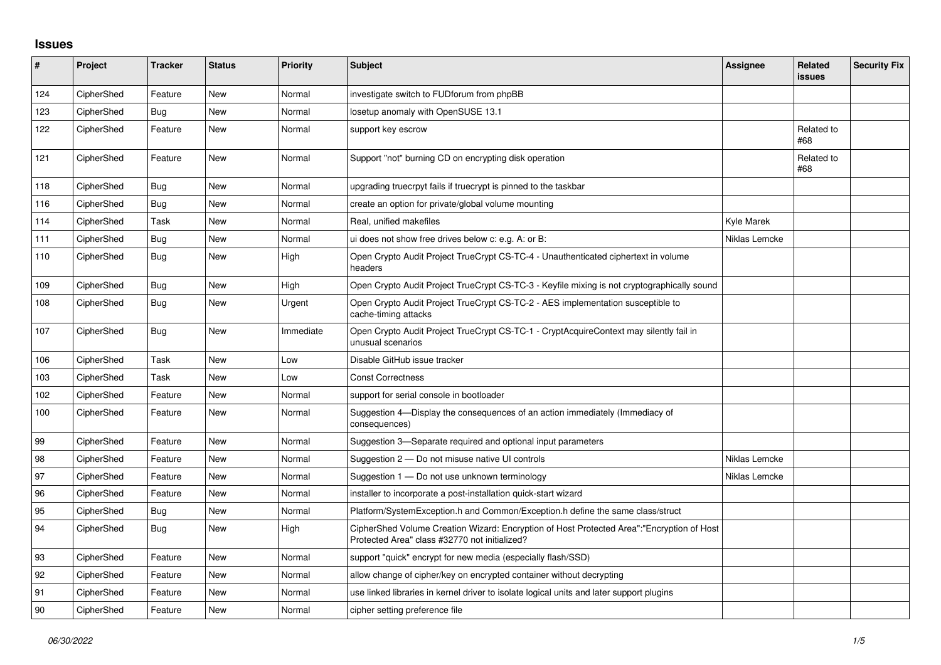## **Issues**

| #   | Project    | <b>Tracker</b> | <b>Status</b> | <b>Priority</b> | <b>Subject</b>                                                                                                                             | Assignee      | Related<br>issues | <b>Security Fix</b> |
|-----|------------|----------------|---------------|-----------------|--------------------------------------------------------------------------------------------------------------------------------------------|---------------|-------------------|---------------------|
| 124 | CipherShed | Feature        | <b>New</b>    | Normal          | investigate switch to FUDforum from phpBB                                                                                                  |               |                   |                     |
| 123 | CipherShed | Bug            | <b>New</b>    | Normal          | losetup anomaly with OpenSUSE 13.1                                                                                                         |               |                   |                     |
| 122 | CipherShed | Feature        | <b>New</b>    | Normal          | support key escrow                                                                                                                         |               | Related to<br>#68 |                     |
| 121 | CipherShed | Feature        | <b>New</b>    | Normal          | Support "not" burning CD on encrypting disk operation                                                                                      |               | Related to<br>#68 |                     |
| 118 | CipherShed | Bug            | <b>New</b>    | Normal          | upgrading truecrpyt fails if truecrypt is pinned to the taskbar                                                                            |               |                   |                     |
| 116 | CipherShed | Bug            | <b>New</b>    | Normal          | create an option for private/global volume mounting                                                                                        |               |                   |                     |
| 114 | CipherShed | Task           | <b>New</b>    | Normal          | Real, unified makefiles                                                                                                                    | Kyle Marek    |                   |                     |
| 111 | CipherShed | <b>Bug</b>     | <b>New</b>    | Normal          | ui does not show free drives below c: e.g. A: or B:                                                                                        | Niklas Lemcke |                   |                     |
| 110 | CipherShed | Bug            | <b>New</b>    | High            | Open Crypto Audit Project TrueCrypt CS-TC-4 - Unauthenticated ciphertext in volume<br>headers                                              |               |                   |                     |
| 109 | CipherShed | <b>Bug</b>     | New           | High            | Open Crypto Audit Project TrueCrypt CS-TC-3 - Keyfile mixing is not cryptographically sound                                                |               |                   |                     |
| 108 | CipherShed | Bug            | <b>New</b>    | Urgent          | Open Crypto Audit Project TrueCrypt CS-TC-2 - AES implementation susceptible to<br>cache-timing attacks                                    |               |                   |                     |
| 107 | CipherShed | <b>Bug</b>     | <b>New</b>    | Immediate       | Open Crypto Audit Project TrueCrypt CS-TC-1 - CryptAcquireContext may silently fail in<br>unusual scenarios                                |               |                   |                     |
| 106 | CipherShed | Task           | New           | Low             | Disable GitHub issue tracker                                                                                                               |               |                   |                     |
| 103 | CipherShed | Task           | <b>New</b>    | Low             | <b>Const Correctness</b>                                                                                                                   |               |                   |                     |
| 102 | CipherShed | Feature        | New           | Normal          | support for serial console in bootloader                                                                                                   |               |                   |                     |
| 100 | CipherShed | Feature        | New           | Normal          | Suggestion 4—Display the consequences of an action immediately (Immediacy of<br>consequences)                                              |               |                   |                     |
| 99  | CipherShed | Feature        | <b>New</b>    | Normal          | Suggestion 3—Separate required and optional input parameters                                                                               |               |                   |                     |
| 98  | CipherShed | Feature        | <b>New</b>    | Normal          | Suggestion 2 – Do not misuse native UI controls                                                                                            | Niklas Lemcke |                   |                     |
| 97  | CipherShed | Feature        | New           | Normal          | Suggestion 1 - Do not use unknown terminology                                                                                              | Niklas Lemcke |                   |                     |
| 96  | CipherShed | Feature        | New           | Normal          | installer to incorporate a post-installation quick-start wizard                                                                            |               |                   |                     |
| 95  | CipherShed | Bug            | <b>New</b>    | Normal          | Platform/SystemException.h and Common/Exception.h define the same class/struct                                                             |               |                   |                     |
| 94  | CipherShed | Bug            | <b>New</b>    | High            | CipherShed Volume Creation Wizard: Encryption of Host Protected Area":"Encryption of Host<br>Protected Area" class #32770 not initialized? |               |                   |                     |
| 93  | CipherShed | Feature        | New           | Normal          | support "quick" encrypt for new media (especially flash/SSD)                                                                               |               |                   |                     |
| 92  | CipherShed | Feature        | New           | Normal          | allow change of cipher/key on encrypted container without decrypting                                                                       |               |                   |                     |
| 91  | CipherShed | Feature        | <b>New</b>    | Normal          | use linked libraries in kernel driver to isolate logical units and later support plugins                                                   |               |                   |                     |
| 90  | CipherShed | Feature        | <b>New</b>    | Normal          | cipher setting preference file                                                                                                             |               |                   |                     |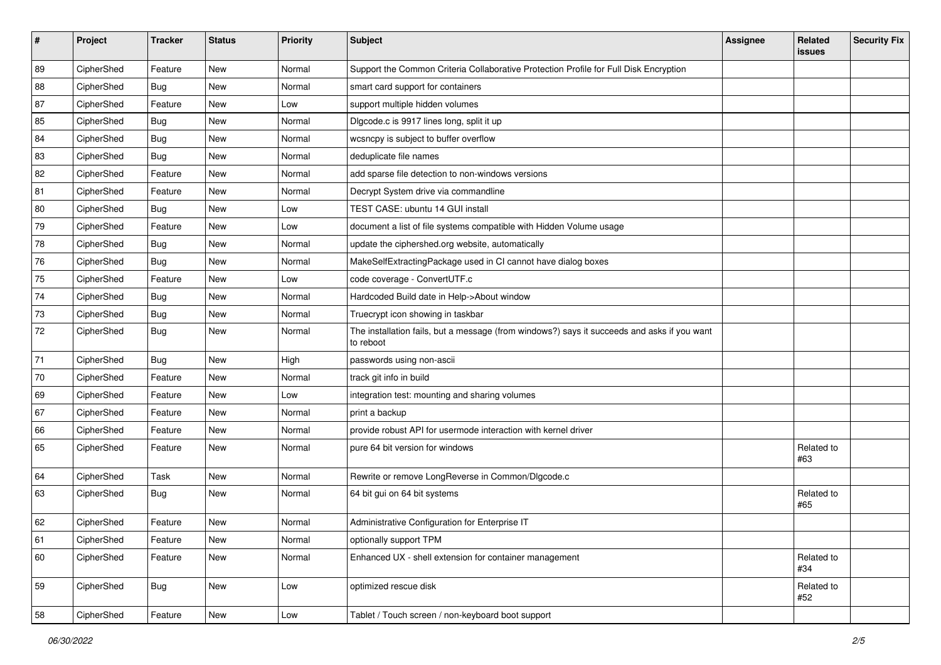| #  | Project    | <b>Tracker</b> | <b>Status</b> | Priority | Subject                                                                                                  | <b>Assignee</b> | Related<br><b>issues</b> | <b>Security Fix</b> |
|----|------------|----------------|---------------|----------|----------------------------------------------------------------------------------------------------------|-----------------|--------------------------|---------------------|
| 89 | CipherShed | Feature        | New           | Normal   | Support the Common Criteria Collaborative Protection Profile for Full Disk Encryption                    |                 |                          |                     |
| 88 | CipherShed | <b>Bug</b>     | New           | Normal   | smart card support for containers                                                                        |                 |                          |                     |
| 87 | CipherShed | Feature        | New           | Low      | support multiple hidden volumes                                                                          |                 |                          |                     |
| 85 | CipherShed | <b>Bug</b>     | New           | Normal   | Digcode.c is 9917 lines long, split it up                                                                |                 |                          |                     |
| 84 | CipherShed | Bug            | New           | Normal   | wcsncpy is subject to buffer overflow                                                                    |                 |                          |                     |
| 83 | CipherShed | <b>Bug</b>     | <b>New</b>    | Normal   | deduplicate file names                                                                                   |                 |                          |                     |
| 82 | CipherShed | Feature        | New           | Normal   | add sparse file detection to non-windows versions                                                        |                 |                          |                     |
| 81 | CipherShed | Feature        | New           | Normal   | Decrypt System drive via commandline                                                                     |                 |                          |                     |
| 80 | CipherShed | Bug            | New           | Low      | TEST CASE: ubuntu 14 GUI install                                                                         |                 |                          |                     |
| 79 | CipherShed | Feature        | New           | Low      | document a list of file systems compatible with Hidden Volume usage                                      |                 |                          |                     |
| 78 | CipherShed | <b>Bug</b>     | New           | Normal   | update the ciphershed.org website, automatically                                                         |                 |                          |                     |
| 76 | CipherShed | Bug            | New           | Normal   | MakeSelfExtractingPackage used in CI cannot have dialog boxes                                            |                 |                          |                     |
| 75 | CipherShed | Feature        | New           | Low      | code coverage - ConvertUTF.c                                                                             |                 |                          |                     |
| 74 | CipherShed | <b>Bug</b>     | New           | Normal   | Hardcoded Build date in Help->About window                                                               |                 |                          |                     |
| 73 | CipherShed | <b>Bug</b>     | New           | Normal   | Truecrypt icon showing in taskbar                                                                        |                 |                          |                     |
| 72 | CipherShed | Bug            | New           | Normal   | The installation fails, but a message (from windows?) says it succeeds and asks if you want<br>to reboot |                 |                          |                     |
| 71 | CipherShed | Bug            | New           | High     | passwords using non-ascii                                                                                |                 |                          |                     |
| 70 | CipherShed | Feature        | New           | Normal   | track git info in build                                                                                  |                 |                          |                     |
| 69 | CipherShed | Feature        | New           | Low      | integration test: mounting and sharing volumes                                                           |                 |                          |                     |
| 67 | CipherShed | Feature        | New           | Normal   | print a backup                                                                                           |                 |                          |                     |
| 66 | CipherShed | Feature        | New           | Normal   | provide robust API for usermode interaction with kernel driver                                           |                 |                          |                     |
| 65 | CipherShed | Feature        | New           | Normal   | pure 64 bit version for windows                                                                          |                 | Related to<br>#63        |                     |
| 64 | CipherShed | Task           | New           | Normal   | Rewrite or remove LongReverse in Common/Dlgcode.c                                                        |                 |                          |                     |
| 63 | CipherShed | Bug            | New           | Normal   | 64 bit gui on 64 bit systems                                                                             |                 | Related to<br>#65        |                     |
| 62 | CipherShed | Feature        | New           | Normal   | Administrative Configuration for Enterprise IT                                                           |                 |                          |                     |
| 61 | CipherShed | Feature        | New           | Normal   | optionally support TPM                                                                                   |                 |                          |                     |
| 60 | CipherShed | Feature        | New           | Normal   | Enhanced UX - shell extension for container management                                                   |                 | Related to<br>#34        |                     |
| 59 | CipherShed | <b>Bug</b>     | New           | Low      | optimized rescue disk                                                                                    |                 | Related to<br>#52        |                     |
| 58 | CipherShed | Feature        | New           | Low      | Tablet / Touch screen / non-keyboard boot support                                                        |                 |                          |                     |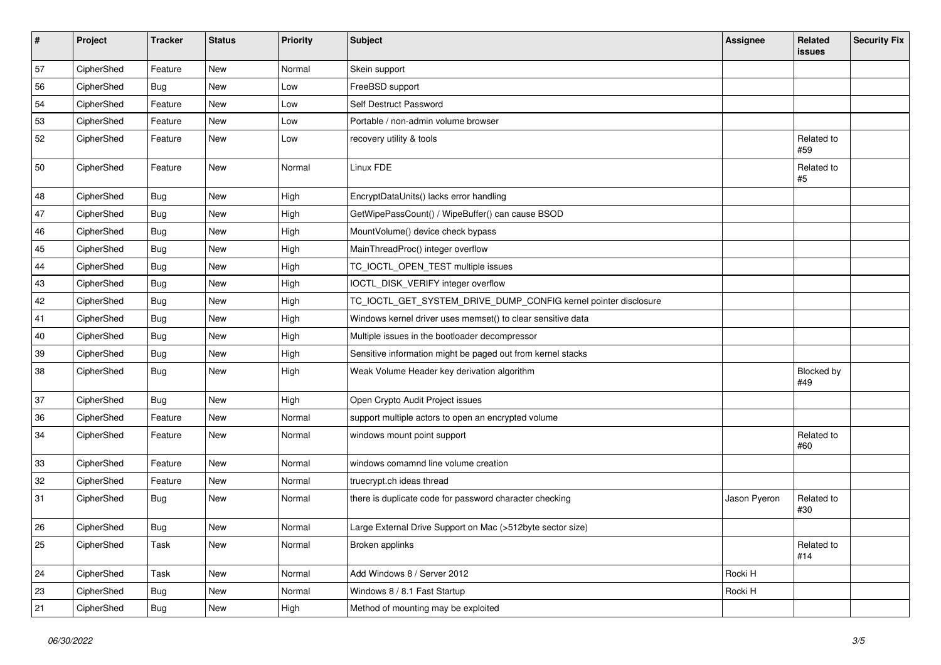| $\pmb{\#}$ | Project    | <b>Tracker</b> | <b>Status</b> | <b>Priority</b> | <b>Subject</b>                                                  | <b>Assignee</b> | Related<br><b>issues</b> | <b>Security Fix</b> |
|------------|------------|----------------|---------------|-----------------|-----------------------------------------------------------------|-----------------|--------------------------|---------------------|
| 57         | CipherShed | Feature        | <b>New</b>    | Normal          | Skein support                                                   |                 |                          |                     |
| 56         | CipherShed | <b>Bug</b>     | <b>New</b>    | Low             | FreeBSD support                                                 |                 |                          |                     |
| 54         | CipherShed | Feature        | New           | Low             | Self Destruct Password                                          |                 |                          |                     |
| 53         | CipherShed | Feature        | <b>New</b>    | Low             | Portable / non-admin volume browser                             |                 |                          |                     |
| 52         | CipherShed | Feature        | New           | Low             | recovery utility & tools                                        |                 | Related to<br>#59        |                     |
| 50         | CipherShed | Feature        | <b>New</b>    | Normal          | Linux FDE                                                       |                 | Related to<br>$\#5$      |                     |
| 48         | CipherShed | <b>Bug</b>     | <b>New</b>    | High            | EncryptDataUnits() lacks error handling                         |                 |                          |                     |
| 47         | CipherShed | <b>Bug</b>     | <b>New</b>    | High            | GetWipePassCount() / WipeBuffer() can cause BSOD                |                 |                          |                     |
| 46         | CipherShed | <b>Bug</b>     | New           | High            | MountVolume() device check bypass                               |                 |                          |                     |
| 45         | CipherShed | <b>Bug</b>     | <b>New</b>    | High            | MainThreadProc() integer overflow                               |                 |                          |                     |
| 44         | CipherShed | <b>Bug</b>     | New           | High            | TC_IOCTL_OPEN_TEST multiple issues                              |                 |                          |                     |
| 43         | CipherShed | <b>Bug</b>     | <b>New</b>    | High            | IOCTL_DISK_VERIFY integer overflow                              |                 |                          |                     |
| 42         | CipherShed | <b>Bug</b>     | <b>New</b>    | High            | TC_IOCTL_GET_SYSTEM_DRIVE_DUMP_CONFIG kernel pointer disclosure |                 |                          |                     |
| 41         | CipherShed | <b>Bug</b>     | <b>New</b>    | High            | Windows kernel driver uses memset() to clear sensitive data     |                 |                          |                     |
| 40         | CipherShed | <b>Bug</b>     | <b>New</b>    | High            | Multiple issues in the bootloader decompressor                  |                 |                          |                     |
| 39         | CipherShed | <b>Bug</b>     | New           | High            | Sensitive information might be paged out from kernel stacks     |                 |                          |                     |
| 38         | CipherShed | <b>Bug</b>     | New           | High            | Weak Volume Header key derivation algorithm                     |                 | Blocked by<br>#49        |                     |
| 37         | CipherShed | <b>Bug</b>     | <b>New</b>    | High            | Open Crypto Audit Project issues                                |                 |                          |                     |
| 36         | CipherShed | Feature        | <b>New</b>    | Normal          | support multiple actors to open an encrypted volume             |                 |                          |                     |
| 34         | CipherShed | Feature        | New           | Normal          | windows mount point support                                     |                 | Related to<br>#60        |                     |
| 33         | CipherShed | Feature        | <b>New</b>    | Normal          | windows comamnd line volume creation                            |                 |                          |                     |
| 32         | CipherShed | Feature        | <b>New</b>    | Normal          | truecrypt.ch ideas thread                                       |                 |                          |                     |
| 31         | CipherShed | <b>Bug</b>     | New           | Normal          | there is duplicate code for password character checking         | Jason Pyeron    | Related to<br>#30        |                     |
| 26         | CipherShed | <b>Bug</b>     | <b>New</b>    | Normal          | Large External Drive Support on Mac (>512byte sector size)      |                 |                          |                     |
| 25         | CipherShed | Task           | New           | Normal          | Broken applinks                                                 |                 | Related to<br>#14        |                     |
| 24         | CipherShed | Task           | New           | Normal          | Add Windows 8 / Server 2012                                     | Rocki H         |                          |                     |
| 23         | CipherShed | Bug            | New           | Normal          | Windows 8 / 8.1 Fast Startup                                    | Rocki H         |                          |                     |
| 21         | CipherShed | Bug            | New           | High            | Method of mounting may be exploited                             |                 |                          |                     |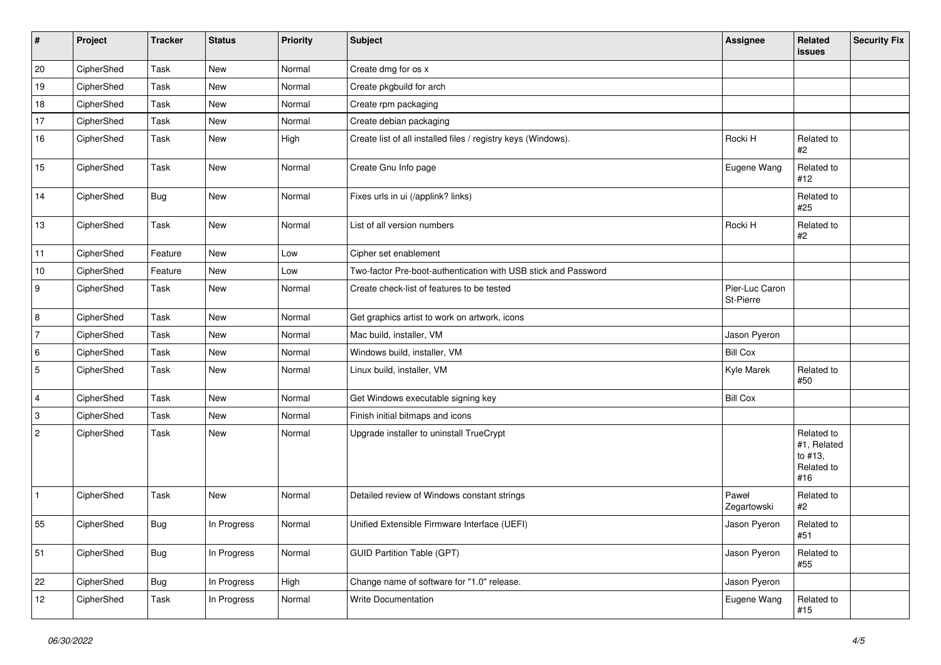| $\vert$ #        | Project    | <b>Tracker</b> | <b>Status</b> | Priority | Subject                                                        | Assignee                    | <b>Related</b><br><b>issues</b>                           | <b>Security Fix</b> |
|------------------|------------|----------------|---------------|----------|----------------------------------------------------------------|-----------------------------|-----------------------------------------------------------|---------------------|
| 20               | CipherShed | <b>Task</b>    | New           | Normal   | Create dmg for os x                                            |                             |                                                           |                     |
| 19               | CipherShed | Task           | New           | Normal   | Create pkgbuild for arch                                       |                             |                                                           |                     |
| 18               | CipherShed | Task           | New           | Normal   | Create rpm packaging                                           |                             |                                                           |                     |
| 17               | CipherShed | Task           | New           | Normal   | Create debian packaging                                        |                             |                                                           |                     |
| 16               | CipherShed | Task           | New           | High     | Create list of all installed files / registry keys (Windows).  | Rocki H                     | Related to<br>#2                                          |                     |
| 15               | CipherShed | Task           | New           | Normal   | Create Gnu Info page                                           | Eugene Wang                 | Related to<br>#12                                         |                     |
| 14               | CipherShed | Bug            | New           | Normal   | Fixes urls in ui (/applink? links)                             |                             | Related to<br>#25                                         |                     |
| 13               | CipherShed | <b>Task</b>    | New           | Normal   | List of all version numbers                                    | Rocki H                     | Related to<br>#2                                          |                     |
| 11               | CipherShed | Feature        | New           | Low      | Cipher set enablement                                          |                             |                                                           |                     |
| $10$             | CipherShed | Feature        | New           | Low      | Two-factor Pre-boot-authentication with USB stick and Password |                             |                                                           |                     |
| $\boldsymbol{9}$ | CipherShed | Task           | New           | Normal   | Create check-list of features to be tested                     | Pier-Luc Caron<br>St-Pierre |                                                           |                     |
| 8                | CipherShed | <b>Task</b>    | New           | Normal   | Get graphics artist to work on artwork, icons                  |                             |                                                           |                     |
| $\overline{7}$   | CipherShed | Task           | New           | Normal   | Mac build, installer, VM                                       | Jason Pyeron                |                                                           |                     |
| 6                | CipherShed | Task           | New           | Normal   | Windows build, installer, VM                                   | <b>Bill Cox</b>             |                                                           |                     |
| 5                | CipherShed | Task           | New           | Normal   | Linux build, installer, VM                                     | Kyle Marek                  | Related to<br>#50                                         |                     |
| $\overline{4}$   | CipherShed | Task           | New           | Normal   | Get Windows executable signing key                             | <b>Bill Cox</b>             |                                                           |                     |
| 3                | CipherShed | Task           | New           | Normal   | Finish initial bitmaps and icons                               |                             |                                                           |                     |
| $\overline{2}$   | CipherShed | Task           | New           | Normal   | Upgrade installer to uninstall TrueCrypt                       |                             | Related to<br>#1, Related<br>to #13,<br>Related to<br>#16 |                     |
| $\vert$ 1        | CipherShed | Task           | New           | Normal   | Detailed review of Windows constant strings                    | Paweł<br>Zegartowski        | Related to<br>#2                                          |                     |
| 55               | CipherShed | Bug            | In Progress   | Normal   | Unified Extensible Firmware Interface (UEFI)                   | Jason Pyeron                | Related to<br>#51                                         |                     |
| 51               | CipherShed | Bug            | In Progress   | Normal   | <b>GUID Partition Table (GPT)</b>                              | Jason Pyeron                | Related to<br>#55                                         |                     |
| 22               | CipherShed | <b>Bug</b>     | In Progress   | High     | Change name of software for "1.0" release.                     | Jason Pyeron                |                                                           |                     |
| 12               | CipherShed | Task           | In Progress   | Normal   | Write Documentation                                            | Eugene Wang                 | Related to<br>#15                                         |                     |